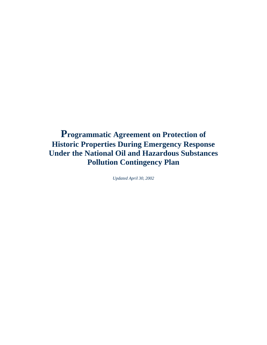# **Programmatic Agreement on Protection of Historic Properties During Emergency Response Under the National Oil and Hazardous Substances Pollution Contingency Plan**

*Updated April 30, 2002*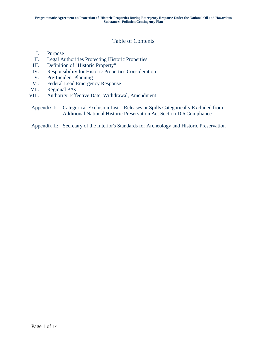## Table of Contents

- I. Purpose
- II. Legal Authorities Protecting Historic Properties
- III. Definition of "Historic Property"
- IV. Responsibility for Historic Properties Consideration
- V. Pre-Incident Planning
- VI. Federal Lead Emergency Response
- VII. Regional PAs
- VIII. Authority, Effective Date, Withdrawal, Amendment
- Appendix I: Categorical Exclusion List—Releases or Spills Categorically Excluded from Additional National Historic Preservation Act Section 106 Compliance

### Appendix II: Secretary of the Interior's Standards for Archeology and Historic Preservation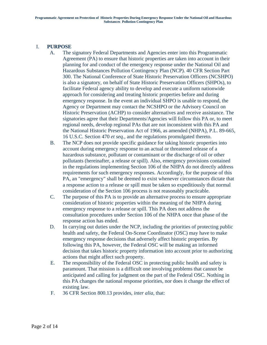### I. **PURPOSE**

- A. The signatory Federal Departments and Agencies enter into this Programmatic Agreement (PA) to ensure that historic properties are taken into account in their planning for and conduct of the emergency response under the National Oil and Hazardous Substances Pollution Contingency Plan (NCP). 40 CFR Section Part 300. The National Conference of State Historic Preservation Officers (NCSHPO) is also a signatory, on behalf of State Historic Preservation Officers (SHPOs), to facilitate Federal agency ability to develop and execute a uniform nationwide approach for considering and treating historic properties before and during emergency response. In the event an individual SHPO is unable to respond, the Agency or Department may contact the NCSHPO or the Advisory Council on Historic Preservation (ACHP) to consider alternatives and receive assistance. The signatories agree that their Departments/Agencies will follow this PA or, to meet regional needs, develop regional PAs that are not inconsistent with this PA and the National Historic Preservation Act of 1966, as amended (NHPA), P.L. 89-665, 16 U.S.C. Section 470 *et seq.,* and the regulations promulgated thereto.
- B. The NCP does not provide specific guidance for taking historic properties into account during emergency response to an actual or threatened release of a hazardous substance, pollutant or contaminant or the discharge of oil or other pollutants (hereinafter, a release or spill). Also, emergency provisions contained in the regulations implementing Section 106 of the NHPA do not directly address requirements for such emergency responses. Accordingly, for the purpose of this PA, an "emergency" shall be deemed to exist whenever circumstances dictate that a response action to a release or spill must be taken so expeditiously that normal consideration of the Section 106 process is not reasonably practicable.
- C. The purpose of this PA is to provide an alternative process to ensure appropriate consideration of historic properties within the meaning of the NHPA during emergency response to a release or spill. This PA does not address the consultation procedures under Section 106 of the NHPA once that phase of the response action has ended.
- D. In carrying out duties under the NCP, including the priorities of protecting public health and safety, the Federal On-Scene Coordinator (OSC) may have to make emergency response decisions that adversely affect historic properties. By following this PA, however, the Federal OSC will be making an informed decision that takes historic property information into account prior to authorizing actions that might affect such property.
- E. The responsibility of the Federal OSC in protecting public health and safety is paramount. That mission is a difficult one involving problems that cannot be anticipated and calling for judgment on the part of the Federal OSC. Nothing in this PA changes the national response priorities, nor does it change the effect of existing law.
- F. 36 CFR Section 800.13 provides, *inter alia,* that: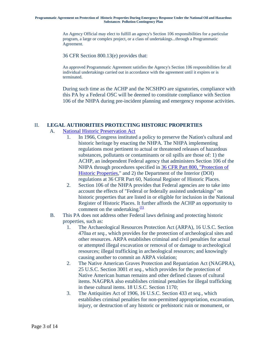#### **Programmatic Agreement on Protection of Historic Properties During Emergency Response Under the National Oil and Hazardous Substances Pollution Contingency Plan**

An Agency Official may elect to fulfill an agency's Section 106 responsibilities for a particular program, a large or complex project, or a class of undertakings...through a Programmatic Agreement.

36 CFR Section 800.13(e) provides that:

An approved Programmatic Agreement satisfies the Agency's Section 106 responsibilities for all individual undertakings carried out in accordance with the agreement until it expires or is terminated.

During such time as the ACHP and the NCSHPO are signatories, compliance with this PA by a Federal OSC will be deemed to constitute compliance with Section 106 of the NHPA during pre-incident planning and emergency response activities.

### II. **LEGAL AUTHORITIES PROTECTING HISTORIC PROPERTIES**

### A. [National Historic Preservation Act](http://www.achp.gov/act.html)

- 1. In 1966, Congress instituted a policy to preserve the Nation's cultural and historic heritage by enacting the NHPA. The NHPA implementing regulations most pertinent to actual or threatened releases of hazardous substances, pollutants or contaminants or oil spills are those of: 1) the ACHP, an independent Federal agency that administers Section 106 of the NHPA through procedures specified in [36 CFR Part 800, "Protection of](http://www.achp.gov/36cfr.html)  [Historic Properties](http://www.achp.gov/36cfr.html)," and 2) the Department of the Interior (DOI) regulations at 36 CFR Part 60, National Register of Historic Places.
- 2. Section 106 of the NHPA provides that Federal agencies are to take into account the effects of "Federal or federally assisted undertakings" on historic properties that are listed in or eligible for inclusion in the National Register of Historic Places. It f[u](http://www.achp.gov/NCP-PA.html#N_1_)rther affords the ACHP an opportunity to comment on the undertaking. $\frac{(1)}{2}$  $\frac{(1)}{2}$  $\frac{(1)}{2}$
- B. This PA does not address other Federal laws defining and protecting historic properties, such as:
	- 1. The Archaeological Resources Protection Act (ARPA), 16 U.S.C. Section 470aa *et seq.,* which provides for the protection of archeological sites and other resources. ARPA establishes criminal and civil penalties for actual or attempted illegal excavation or removal of or damage to archeological resources; illegal trafficking in archeological resources; and knowingly causing another to commit an ARPA violation;
	- 2. The Native American Graves Protection and Repatriation Act (NAGPRA), 25 U.S.C. Section 3001 *et seq.,* which provides for the protection of Native American human remains and other defined classes of cultural items. NAGPRA also establishes criminal penalties for illegal trafficking in these cultural items. 18 U.S.C. Section 1170;
	- 3. The Antiquities Act of 1906, 16 U.S.C. Section 433 *et seq.,* which establishes criminal penalties for non-permitted appropriation, excavation, injury, or destruction of any historic or prehistoric ruin or monument, or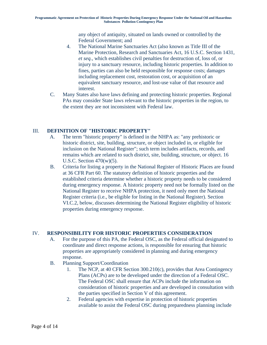any object of antiquity, situated on lands owned or controlled by the Federal Government; and

- 4. The National Marine Sanctuaries Act (also known as Title III of the Marine Protection, Research and Sanctuaries Act, 16 U.S.C. Section 1431, *et seq.,* which establishes civil penalties for destruction of, loss of, or injury to a sanctuary resource, including historic properties. In addition to fines, parties can also be held responsible for response costs; damages including replacement cost, restoration cost, or acquisition of an equivalent sanctuary resource, and lost-use value of that resource and interest.
- C. Many States also have laws defining and protecting historic properties. Regional PAs may consider State laws relevant to the historic properties in the region, to the extent they are not inconsistent with Federal law.

### III. **DEFINITION OF "HISTORIC PROPERTY"**

- A. The term "historic property" is defined in the NHPA as: "any prehistoric or historic district, site, building, structure, or object included in, or eligible for inclusion on the National Register"; such term includes artifacts, records, and remains which are related to such district, site, building, structure, or object. 16 U.S.C. Section 470(w)(5).
- B. Criteria for listing a property in the National Register of Historic Places are found at 36 CFR Part 60. The statutory definition of historic properties and the established criteria determine whether a historic property needs to be considered during emergency response. A historic property need not be formally listed on the National Register to receive NHPA protection, it need only meet the National Register criteria (i.e., be eligible for listing in the National Register). Section VI.C.2, below, discusses determining the National Register eligibility of historic properties during emergency response.

## IV. **RESPONSIBILITY FOR HISTORIC PROPERTIES CONSIDERATION**

- A. For the purpose of this PA, the Federal OSC, as the Federal official designated to coordinate and direct response actions, is responsible for ensuring that historic properties are appropriately considered in planning and during emergency response.
- B. Planning Support/Coordination
	- 1. The NCP, at 40 CFR Section 300.210(c), provides that Area Contingency Plans (ACPs) are to be developed under the direction of a Federal OSC. The Federal OSC shall ensure that ACPs include the information on consideration of historic properties and are developed in consultation with the parties specified in Section V of this agreement.
	- 2. Federal agencies with expertise in protection of historic properties available to assist the Federal OSC during preparedness planning include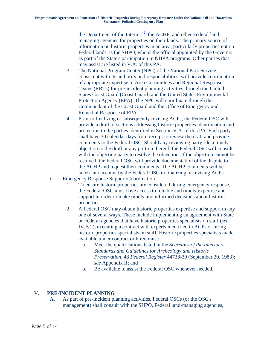the Department of the Interior, $\frac{2}{2}$  the ACHP, and other Federal landmanaging agencies for properties on their lands. The primary source of information on historic properties in an area, particularly properties not on Federal lands, is the SHPO, who is the official appointed by the Governor as part of the State's participation in NHPA programs. Other parties that may assist are listed in V.A. of this PA.

- 3. The National Program Center (NPC) of the National Park Service, consistent with its authority and responsibilities, will provide coordination of appropriate expertise to Area Cornmittees and Regional Response Teams (RRTs) for pre-incident planning activities through the United States Coast Guard (Coast Guard) and the United States Environmental Protection Agency (EPA). The NPC will coordinate through the Commandant of the Coast Guard and the Office of Emergency and Remedial Response of EPA.
- 4. Prior to finalizing or subsequently revising ACPs, the Federal OSC will provide a draft of sections addressing historic properties identification and protection to the parties identified in Section V.A. of this PA. Each party shall have 30 calendar days from receipt to review the draft and provide comments to the Federal OSC. Should any reviewing party file a timely objection to the draft or any portion thereof, the Federal OSC will consult with the objecting party to resolve the objection. If the objection cannot be resolved, the Federal OSC will provide documentation of the dispute to the ACHP and request their comments. The ACHP comments will be taken into account by the Federal OSC in finalizing or revising ACPs.
- C. Emergency Response Support/Coordination
	- 1. To ensure historic properties are considered during emergency response, the Federal OSC must have access to reliable and timely expertise and support in order to make timely and informed decisions about historic properties.
	- 2. A Federal OSC may obtain historic properties expertise and support m any one of several ways. These include implementing an agreement with State or Federal agencies that have historic properties specialists on staff (*see* IV.B.2), executing a contract with experts identified in ACPs or hiring historic properties specialists on staff. Historic properties specialists made available under contract or hired must:
		- a. Meet the qualifications listed in the *Secretary of the Interior's Standards and Guidelines for Archeology and Historic Preservation,* 48 *Federal Register* 44738-39 (September 29, 1983); *see* Appendix II; and
		- b. Be available to assist the Federal OSC whenever needed.

### V. **PRE-INCIDENT PLANNING**

A. As part of pre-incident planning activities, Federal OSCs (or the OSC's management) shall consult with the SHPO, Federal land-managing agencies,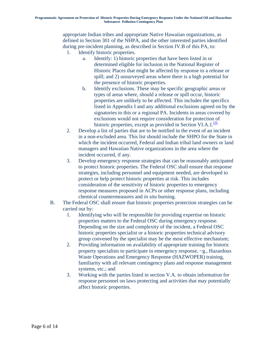appropriate Indian tribes and appropriate Native Hawaiian organizations, as defined in Section 301 of the NHPA, and the other interested parties identified during pre-incident planning, as described in Section IV.B of this PA, to:

- 1. Identify historic properties.
	- a. Identify: 1) historic properties that have been listed in or determined eligible for inclusion in the National Register of Historic Places that might be affected by response to a release or spill; and 2) unsurveyed areas where there is a high potential for the presence of historic properties.
	- b. Identify exclusions. These may be specific geographic areas or types of areas where, should a release or spill occur, historic properties are unlikely to be affected. This includes the specifics listed in Appendix I and any additional exclusions agreed on by the signatories to this or a regional PA. Incidents in areas covered by exclusions would not require consideration for protection [of](http://www.achp.gov/NCP-PA.html#N_3_) historic properties, except as provided in Section VI.A.1. $\frac{(3)}{2}$
- 2. Develop a list of parties that are to be notified in the event of an incident in a non-excluded area. This list should include the SHPO for the State in which the incident occurred, Federal and Indian tribal land owners or land managers and Hawaiian Native organizations in the area where the incident occurred, if any.
- 3. Develop emergency response strategies that can be reasonably anticipated to protect historic properties. The Federal OSC shall ensure that response strategies, including personnel and equipment needed, are developed to protect or help protect historic properties at risk. This includes consideration of the sensitivity of historic properties to emergency response measures proposed in ACPs or other response plans, including chemical countermeasures and *in situ* burning.
- B. The Federal OSC shall ensure that historic properties protection strategies can be carried out by:
	- 1. Identifying who will be responsible for providing expertise on historic properties matters to the Federal OSC during emergency response. Depending on the size and complexity of the incident, a Federal OSC historic properties specialist or a historic properties technical advisory group convened by the specialist may be the most effective mechanism;
	- 2. Providing information on availability of appropriate training for historic property specialists to participate in emergency response, ~g., Hazardous Waste Operations and Emergency Response (HAZWOPER) training, familiarity with all relevant contingency plans and response management systems, etc.; and
	- 3. Working with the parties listed in section V.A. to obtain information for response personnel on laws protecting and activities that may potentially affect historic properties.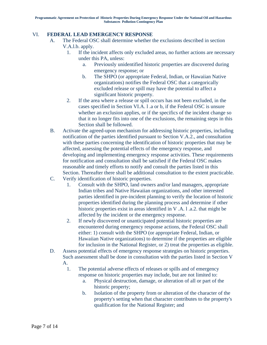### VI. **FEDERAL LEAD EMERGENCY RESPONSE**

- A. The Federal OSC shall determine whether the exclusions described in section V.A.l.b. apply.
	- 1. If the incident affects only excluded areas, no further actions are necessary under this PA, unless:
		- a. Previously unidentified historic properties are discovered during emergency response; or
		- b. The SHPO (or appropriate Federal, Indian, or Hawaiian Native organizations) notifies the Federal OSC that a categorically excluded release or spill may have the potential to affect a significant historic property.
	- 2. If the area where a release or spill occurs has not been excluded, in the cases specified in Section VI.A. l .a or b, if the Federal OSC is unsure whether an exclusion applies, or if the specifics of the incident change so that it no longer fits into one of the exclusions, the remaining steps in this Section shall be followed.
- B. Activate the agreed-upon mechanism for addressing historic properties, including notification of the parties identified pursuant to Section V.A.2., and consultation with these parties concerning the identification of historic properties that may be affected, assessing the potential effects of the emergency response, and developing and implementing emergency response activities. These requirements for notification and consultation shall be satisfied if the Federal OSC makes reasonable and timely efforts to notify and consult the parties listed in this Section. Thereafter there shall be additional consultation to the extent practicable.
- C. Verify identification of historic properties.
	- 1. Consult with the SHPO, land owners and/or land managers, appropriate Indian tribes and Native Hawaiian organizations, and other interested parties identified in pre-incident planning to verify the location of historic properties identified during the planning process and determine if other historic properties exist in areas identified in V .A. l .a.2. that might be affected by the incident or the emergency response.
	- 2. If newly discovered or unanticipated potential historic properties are encountered during emergency response actions, the Federal OSC shall either: 1) consult with the SHPO (or appropriate Federal, Indian, or Hawaiian Native organizations) to determine if the properties are eligible for inclusion in the National Register, or 2) treat the properties as eligible.
- D. Assess potential effects of emergency response strategies on historic properties. Such assessment shall be done in consultation with the parties listed in Section V
	- A.
		- 1. The potential adverse effects of releases or spills and of emergency response on historic properties may include, but are not limited to:
			- a. Physical destruction, damage, or alteration of all or part of the historic property;
			- b. Isolation of the property from or alteration of the character of the property's setting when that character contributes to the property's qualification for the National Register; and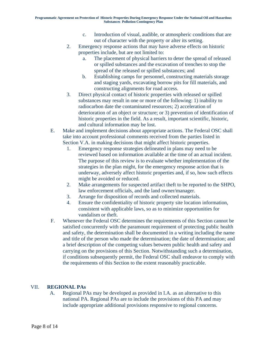- c. Introduction of visual, audible, or atmospheric conditions that are out of character with the property or alter its setting.
- 2. Emergency response actions that may have adverse effects on historic properties include, but are not limited to:
	- a. The placement of physical barriers to deter the spread of released or spilled substances and the excavation of trenches to stop the spread of the released or spilled substances; and
	- b. Establishing camps for personnel, constructing materials storage and staging yards, excavating borrow pits for fill materials, and constructing alignments for road access.
- 3. Direct physical contact of historic properties with released or spilled substances may result in one or more of the following: 1) inability to radiocarbon date the contaminated resources; 2) acceleration of deterioration of an object or structure; or 3) prevention of identification of historic properties in the field. As a result, important scientific, historic, and cultural information may be lost.
- E. Make and implement decisions about appropriate actions. The Federal OSC shall take into account professional comments received from the parties listed in Section V.A. in making decisions that might affect historic properties.
	- 1. Emergency response strategies delineated in plans may need to be reviewed based on information available at the time of an actual incident. The purpose of this review is to evaluate whether implementation of the strategies in the plan might, for the emergency response action that is underway, adversely affect historic properties and, if so, how such effects might be avoided or reduced.
	- 2. Make arrangements for suspected artifact theft to be reported to the SHPO, law enforcement officials, and the land owner/manager.
	- 3. Arrange for disposition of records and collected materials.
	- 4. Ensure the confidentiality of historic property site location information, consistent with applicable laws, so as to minimize opportunities for vandalism or theft.
- F. Whenever the Federal OSC determines the requirements of this Section cannot be satisfied concurrently with the paramount requirement of protecting public health and safety, the determination shall be documented in a writing including the name and title of the person who made the determination; the date of determination; and a brief description of the competing values between public health and safety and carrying on the provisions of this Section. Notwithstanding such a determination, if conditions subsequently permit, the Federal OSC shall endeavor to comply with the requirements of this Section to the extent reasonably practicable.

### VII. **REGIONAL PAs**

A. Regional PAs may be developed as provided in I.A. as an alternative to this national PA. Regional PAs are to include the provisions of this PA and may include appropriate additional provisions responsive to regional concerns.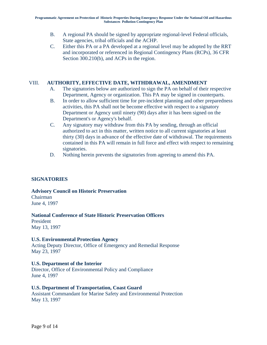- B. A regional PA should be signed by appropriate regional-level Federal officials, State agencies, tribal officials and the ACHP.
- C. Either this PA or a PA developed at a regional level may be adopted by the RRT and incorporated or referenced in Regional Contingency Plans (RCPs), 36 CFR Section 300.210(b), and ACPs in the region.

### VIII. **AUTHORITY, EFFECTIVE DATE, WITHDRAWAL, AMENDMENT**

- A. The signatories below are authorized to sign the PA on behalf of their respective Department, Agency or organization. This PA may be signed in counterparts.
- B. In order to allow sufficient time for pre-incident planning and other preparedness activities, this PA shall not be become effective with respect to a signatory Department or Agency until ninety (90) days after it has been signed on the Department's or Agency's behalf.
- C. Any signatory may withdraw from this PA by sending, through an official authorized to act in this matter, written notice to all current signatories at least thirty (30) days in advance of the effective date of withdrawal. The requirements contained in this PA will remain in full force and effect with respect to remaining signatories.
- D. Nothing herein prevents the signatories from agreeing to amend this PA.

### **SIGNATORIES**

### **Advisory Council on Historic Preservation**

Chairman June 4, 1997

### **National Conference of State Historic Preservation Officers**

President May 13, 1997

### **U.S. Environmental Protection Agency**

Acting Deputy Director, Office of Emergency and Remedial Response May 23, 1997

### **U.S. Department of the Interior**

Director, Office of Environmental Policy and Compliance June 4, 1997

### **U.S. Department of Transportation, Coast Guard**

Assistant Commandant for Marine Safety and Environmental Protection May 13, 1997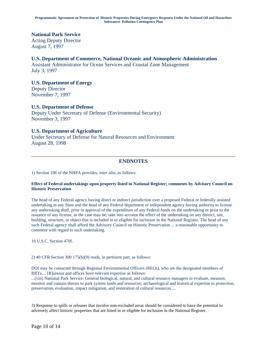### **National Park Service**

Acting Deputy Director August 7, 1997

### **U.S. Department of Commerce, National Oceanic and Atmospheric Administration**

Assistant Administrator for Ocean Services and Coastal Zone Management July 3, 1997

### **U.S. Department of Energy**

Deputy Director November 7, 1997

### **U.S. Department of Defense**

Deputy Under Secretary of Defense (Environmental Security) November 3, 1997

### **U.S. Department of Agriculture**

Under Secretary of Defense for Natural Resources and Environment August 28, 1998

### **ENDNOTES**

1) Section 106 of the NHPA provides, *inter alia,* as follows:

#### **Effect of Federal undertakings upon property listed in National Register; comments by Advisory Council on Historic Preservation**

The head of any Federal agency having direct or indirect jurisdiction over a proposed Federal or federally assisted undertaking in any State and the head of any Federal department or independent agency having authority to license any undertaking shall, prior to approval of the expenditure of any Federal funds on the undertaking or prior to the issuance of any license, as the case may be, take into account the effect of the undertaking on any district, site, building, structure, or object that is included in or eligible for inclusion in the National Register. The head of any such Federal agency shall afford the Advisory Council on Historic Preservation ... a reasonable opportunity to comment with regard to such undertaking.

16 U.S.C. Section 470f.

2) 40 CFR Section 300 175(b)(9) reads, in pertinent part, as follows:

DOI may be contacted through Regional Environmental Officers (REOs), who are the designated members of RRTs.... [B]ureaus and offices have relevant expertise as follows:

...(viii) National Park Service: General biological, natural, and cultural resource managers to evaluate, measure, monitor and contain threats to park system lands and resources; archaeological and historical expertise in protection, preservation, evaluation, impact mitigation, and restoration of cultural resources....

3) Response to spills or releases that involve non-excluded areas should be considered to have the potential to adversely affect historic properties that are listed in or eligible for inclusion in the National Register.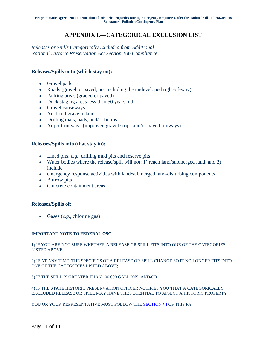# **APPENDIX I.—CATEGORICAL EXCLUSION LIST**

*Releases or Spills Categorically Excluded from Additional National Historic Preservation Act Section 106 Compliance*

### **Releases/Spills onto (which stay on):**

- Gravel pads
- Roads (gravel or paved, not including the undeveloped right-of-way)
- Parking areas (graded or paved)
- Dock staging areas less than 50 years old
- Gravel causeways
- Artificial gravel islands
- Drilling mats, pads, and/or berms
- Airport runways (improved gravel strips and/or paved runways)

#### **Releases/Spills into (that stay in):**

- Lined pits; *e.g.*, drilling mud pits and reserve pits
- Water bodies where the release/spill will not: 1) reach land/submerged land; and 2) include
- emergency response activities with land/submerged land-disturbing components
- Borrow pits
- Concrete containment areas

#### **Releases/Spills of:**

Gases (*e.g.,* chlorine gas)

#### **IMPORTANT NOTE TO FEDERAL OSC:**

1) IF YOU ARE NOT SURE WHETHER A RELEASE OR SPILL FITS INTO ONE OF THE CATEGORIES LISTED ABOVE;

2) IF AT ANY TIME, THE SPECIFICS OF A RELEASE OR SPILL CHANGE SO IT NO LONGER FITS INTO ONE OF THE CATEGORIES LISTED ABOVE;

3) IF THE SPILL IS GREATER THAN 100,000 GALLONS; AND/OR

4) IF THE STATE HISTORIC PRESERVATION OFFICER NOTIFIES YOU THAT A CATEGORICALLY EXCLUDED RELEASE OR SPILL MAY HAVE THE POTENTIAL TO AFFECT A HISTORIC PROPERTY

YOU OR YOUR REPRESENTATIVE MUST FOLLOW THE **SECTION VI** OF THIS PA.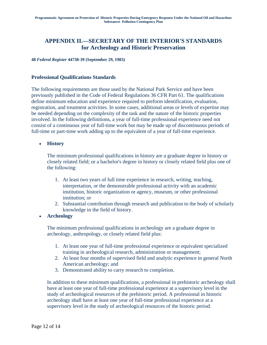# **APPENDIX II.—SECRETARY OF THE INTERIOR'S STANDARDS for Archeology and Historic Preservation**

**48** *Federal Register* **44738-39 (September 29, 1983)**

#### **Professional Qualifications Standards**

The following requirements are those used by the National Park Service and have been previously published in the Code of Federal Regulations 36 CFR Part 61. The qualifications define minimum education and experience required to preform identification, evaluation, registration, and treatment activities. In some cases, additional areas or levels of expertise may be needed depending on the complexity of the task and the nature of the historic properties involved. In the following definitions, a year of full-time professional experience need not consist of a continuous year of full-time work but may be made up of discontinuous periods of full-time or part-time work adding up to the equivalent of a year of full-time experience.

**History**

The minimum professional qualifications in history are a graduate degree in history or closely related field; or a bachelor's degree in history or closely related field plus one of the following:

- 1. At least two years of full time experience in research, writing, teaching, interpretation, or the demonstrable professional activity with an academic institution, historic organization or agency, museum, or other professional institution; or
- 2. Substantial contribution through research and publication to the body of scholarly knowledge in the field of history.
- **Archeology**

The minimum professional qualifications in archeology are a graduate degree in archeology, anthropology, or closely related field plus:

- 1. At least one year of full-time professional experience or equivalent specialized training in archeological research, administration or management;
- 2. At least four months of supervised field and analytic experience in general North American archeology; and
- 3. Demonstrated ability to carry research to completion.

In addition to these minimum qualifications, a professional in prehistoric archeology shall have at least one year of full-time professional experience at a supervisory level in the study of archeological resources of the prehistoric period. A professional in historic archeology shall have at least one year of full-time professional experience at a supervisory level in the study of archeological resources of the historic period.